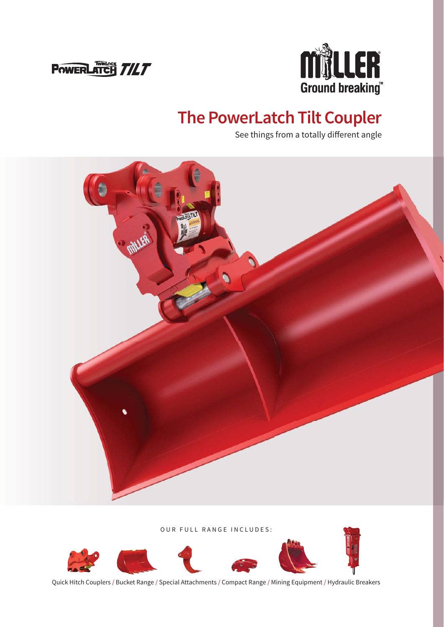



### **The PowerLatch Tilt Coupler**

See things from a totally different angle



OUR FULL RANGE INCLUDES:



Quick Hitch Couplers / Bucket Range / Special Attachments / Compact Range / Mining Equipment / Hydraulic Breakers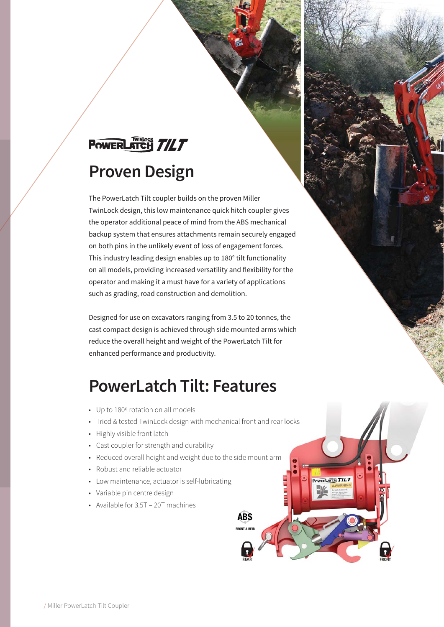# POWERLATCH TILT **Proven Design**

The PowerLatch Tilt coupler builds on the proven Miller TwinLock design, this low maintenance quick hitch coupler gives the operator additional peace of mind from the ABS mechanical backup system that ensures attachments remain securely engaged on both pins in the unlikely event of loss of engagement forces. This industry leading design enables up to 180° tilt functionality on all models, providing increased versatility and flexibility for the operator and making it a must have for a variety of applications such as grading, road construction and demolition.

Designed for use on excavators ranging from 3.5 to 20 tonnes, the cast compact design is achieved through side mounted arms which reduce the overall height and weight of the PowerLatch Tilt for enhanced performance and productivity.

#### **PowerLatch Tilt: Features**

- Up to 180° rotation on all models
- Tried & tested TwinLock design with mechanical front and rear locks

**ABS** 

RLATCH TILT

- Highly visible front latch
- Cast coupler for strength and durability
- Reduced overall height and weight due to the side mount arm
- Robust and reliable actuator
- Low maintenance, actuator is self-lubricating
- Variable pin centre design
- Available for 3.5T 20T machines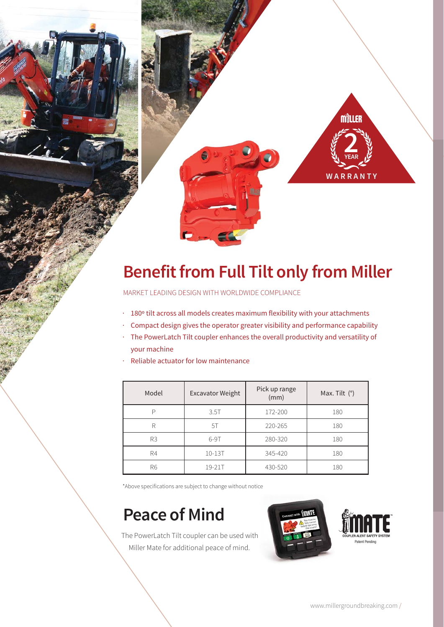

## **Benefit from Full Tilt only from Miller**

MARKET LEADING DESIGN WITH WORLDWIDE COMPLIANCE

- · 180° tilt across all models creates maximum flexibility with your attachments
- Compact design gives the operator greater visibility and performance capability
- · The PowerLatch Tilt coupler enhances the overall productivity and versatility of your machine
- Reliable actuator for low maintenance l.

| Model | <b>Excavator Weight</b> | Pick up range<br>(mm) | Max. Tilt (°) |
|-------|-------------------------|-----------------------|---------------|
|       | 3.5T                    | 172-200               | 180           |
| R     | 5T                      | 220-265               | 180           |
| R3    | $6-9T$                  | 280-320               | 180           |
| R4    | $10 - 13T$              | 345-420               | 180           |
| R6    | 19-21T                  | 430-520               | 180           |

\*Above specifications are subject to change without notice

#### **Peace of Mind**

The PowerLatch Tilt coupler can be used with Miller Mate for additional peace of mind.